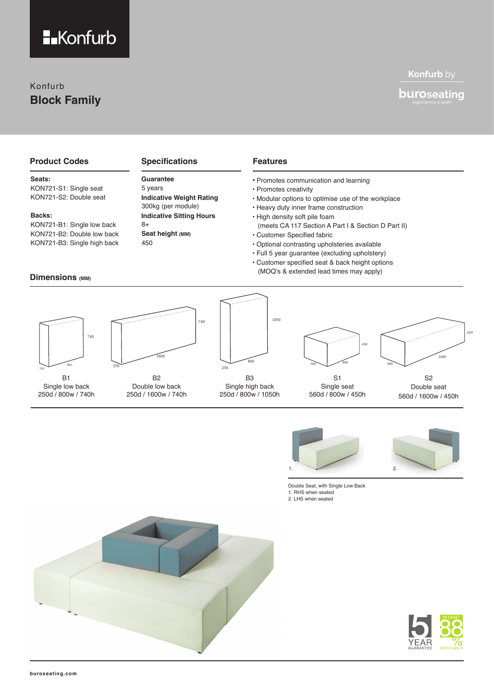

## Konfurb **Block Family**

## Konfurb by

## **buroseating**

## **Product Codes**

#### **Seats:**

KON721-S1: Single seat KON721-S2: Double seat

#### **Backs:**

KON721-B1: Single low back KON721-B2: Double low back KON721-B3: Single high back

### **Dimensions (MM)**

### **Specifications**

## **Guarantee**

**Indicative Weight Rating Indicative Sitting Hours** 5 years 300kg (per module) 8+ **Seat height (MM)** 450

740

### **Features**

- Promotes communication and learning
- Promotes creativity
- Modular options to optimise use of the workplace
- Heavy duty inner frame construction
- High density soft pile foam (meets CA 117 Section A Part I & Section D Part II)
- Customer Specified fabric
- Optional contrasting upholsteries available
- Full 5 year guarantee (excluding upholstery)
- Customer specified seat & back height options (MOQ's & extended lead times may apply)



Single low back 250d / 800w / 740h



B2 Double low back 250d / 1600w / 740h



B3 Single high back 250d / 800w / 1050h



S1 Single seat 560d / 800w / 450h



S2 Double seat 560d / 1600w / 450h



Double Seat, with Single Low Back 1. RHS when seated 2. LHS when seated